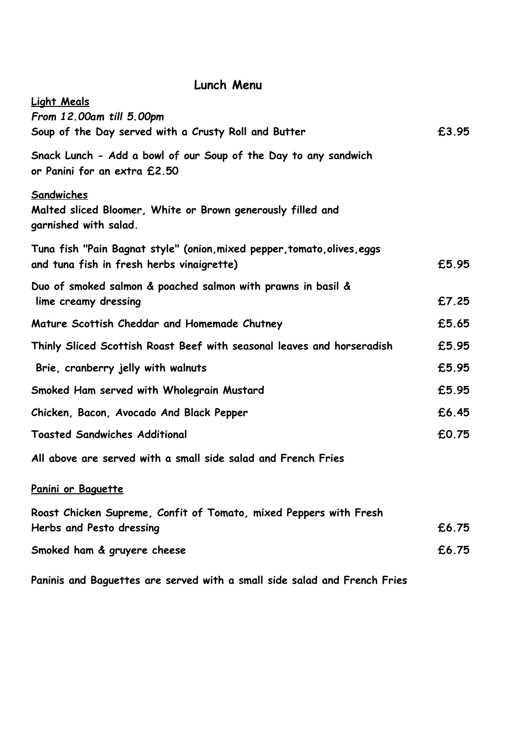## **Lunch Menu**

| <b>Light Meals</b><br>From 12.00am till 5.00pm                                                                        |       |
|-----------------------------------------------------------------------------------------------------------------------|-------|
| Soup of the Day served with a Crusty Roll and Butter                                                                  | £3.95 |
| Snack Lunch - Add a bowl of our Soup of the Day to any sandwich<br>or Panini for an extra £2.50                       |       |
| Sandwiches<br>Malted sliced Bloomer, White or Brown generously filled and<br>garnished with salad.                    |       |
| Tuna fish "Pain Bagnat style" (onion, mixed pepper, tomato, olives, eggs<br>and tuna fish in fresh herbs vinaigrette) | £5.95 |
| Duo of smoked salmon & poached salmon with prawns in basil &<br>lime creamy dressing                                  | £7.25 |
| Mature Scottish Cheddar and Homemade Chutney                                                                          | £5.65 |
| Thinly Sliced Scottish Roast Beef with seasonal leaves and horseradish                                                | £5.95 |
| Brie, cranberry jelly with walnuts                                                                                    | £5.95 |
| Smoked Ham served with Wholegrain Mustard                                                                             | £5.95 |
| Chicken, Bacon, Avocado And Black Pepper                                                                              | £6.45 |
| <b>Toasted Sandwiches Additional</b>                                                                                  | £0.75 |
| All above are served with a small side salad and French Fries                                                         |       |
| Panini or Baguette                                                                                                    |       |
| Roast Chicken Supreme, Confit of Tomato, mixed Peppers with Fresh<br>Herbs and Pesto dressing                         | £6.75 |
| Smoked ham & gruyere cheese                                                                                           | £6.75 |
| Paninis and Baguettes are served with a small side salad and French Fries                                             |       |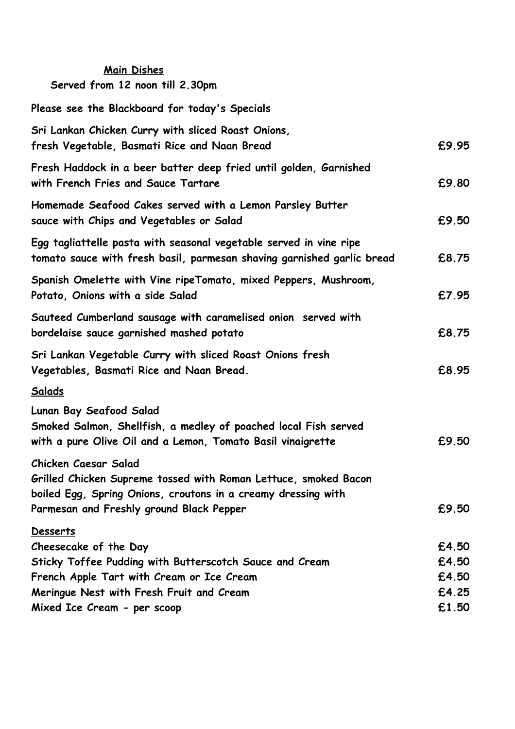| <b>Main Dishes</b><br>Served from 12 noon till 2.30pm                                                                                                                                                |                                  |
|------------------------------------------------------------------------------------------------------------------------------------------------------------------------------------------------------|----------------------------------|
| Please see the Blackboard for today's Specials                                                                                                                                                       |                                  |
| Sri Lankan Chicken Curry with sliced Roast Onions,<br>fresh Vegetable, Basmati Rice and Naan Bread                                                                                                   | £9.95                            |
| Fresh Haddock in a beer batter deep fried until golden, Garnished<br>with French Fries and Sauce Tartare                                                                                             | £9.80                            |
| Homemade Seafood Cakes served with a Lemon Parsley Butter<br>sauce with Chips and Vegetables or Salad                                                                                                | £9.50                            |
| Egg tagliattelle pasta with seasonal vegetable served in vine ripe<br>tomato sauce with fresh basil, parmesan shaving garnished garlic bread                                                         | £8.75                            |
| Spanish Omelette with Vine ripeTomato, mixed Peppers, Mushroom,<br>Potato, Onions with a side Salad                                                                                                  | £7.95                            |
| Sauteed Cumberland sausage with caramelised onion served with<br>bordelaise sauce garnished mashed potato                                                                                            | £8.75                            |
| Sri Lankan Vegetable Curry with sliced Roast Onions fresh<br>Vegetables, Basmati Rice and Naan Bread.                                                                                                | £8.95                            |
| Salads                                                                                                                                                                                               |                                  |
| Lunan Bay Seafood Salad<br>Smoked Salmon, Shellfish, a medley of poached local Fish served<br>with a pure Olive Oil and a Lemon, Tomato Basil vinaigrette                                            | £9.50                            |
| Chicken Caesar Salad<br>Grilled Chicken Supreme tossed with Roman Lettuce, smoked Bacon<br>boiled Egg, Spring Onions, croutons in a creamy dressing with<br>Parmesan and Freshly ground Black Pepper | £9.50                            |
| <b>Desserts</b><br>Cheesecake of the Day<br>Sticky Toffee Pudding with Butterscotch Sauce and Cream<br>French Apple Tart with Cream or Ice Cream<br>Meringue Nest with Fresh Fruit and Cream         | £4.50<br>£4.50<br>£4.50<br>£4.25 |
| Mixed Ice Cream - per scoop                                                                                                                                                                          | £1.50                            |